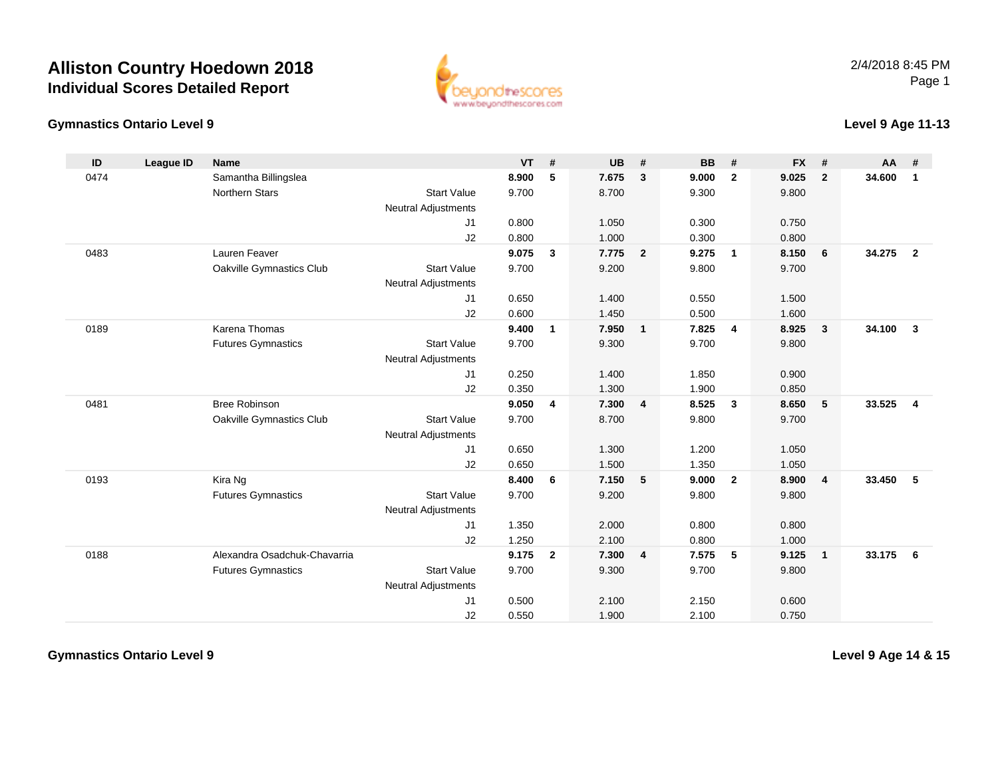# **Alliston Country Hoedown 2018Individual Scores Detailed Report**



#### **Gymnastics Ontario Level 9**

#### **Level 9 Age 11-13**

| ID   | <b>League ID</b> | <b>Name</b>                  |                            | VT    | #              | <b>UB</b> | #                       | <b>BB</b> | #              | <b>FX</b> | #              | <b>AA</b> | #              |
|------|------------------|------------------------------|----------------------------|-------|----------------|-----------|-------------------------|-----------|----------------|-----------|----------------|-----------|----------------|
| 0474 |                  | Samantha Billingslea         |                            | 8.900 | 5              | 7.675     | $\mathbf{3}$            | 9.000     | $\overline{2}$ | 9.025     | $\overline{2}$ | 34.600    | $\mathbf{1}$   |
|      |                  | <b>Northern Stars</b>        | <b>Start Value</b>         | 9.700 |                | 8.700     |                         | 9.300     |                | 9.800     |                |           |                |
|      |                  |                              | <b>Neutral Adjustments</b> |       |                |           |                         |           |                |           |                |           |                |
|      |                  |                              | J1                         | 0.800 |                | 1.050     |                         | 0.300     |                | 0.750     |                |           |                |
|      |                  |                              | J2                         | 0.800 |                | 1.000     |                         | 0.300     |                | 0.800     |                |           |                |
| 0483 |                  | Lauren Feaver                |                            | 9.075 | $\mathbf{3}$   | 7.775     | $\overline{2}$          | 9.275     | $\overline{1}$ | 8.150     | 6              | 34.275    | $\overline{2}$ |
|      |                  | Oakville Gymnastics Club     | <b>Start Value</b>         | 9.700 |                | 9.200     |                         | 9.800     |                | 9.700     |                |           |                |
|      |                  |                              | <b>Neutral Adjustments</b> |       |                |           |                         |           |                |           |                |           |                |
|      |                  |                              | J1                         | 0.650 |                | 1.400     |                         | 0.550     |                | 1.500     |                |           |                |
|      |                  |                              | J2                         | 0.600 |                | 1.450     |                         | 0.500     |                | 1.600     |                |           |                |
| 0189 |                  | Karena Thomas                |                            | 9.400 | 1              | 7.950     | $\mathbf{1}$            | 7.825     | $\overline{4}$ | 8.925     | $\overline{3}$ | 34.100    | $\mathbf{3}$   |
|      |                  | <b>Futures Gymnastics</b>    | <b>Start Value</b>         | 9.700 |                | 9.300     |                         | 9.700     |                | 9.800     |                |           |                |
|      |                  |                              | <b>Neutral Adjustments</b> |       |                |           |                         |           |                |           |                |           |                |
|      |                  |                              | J1                         | 0.250 |                | 1.400     |                         | 1.850     |                | 0.900     |                |           |                |
|      |                  |                              | J2                         | 0.350 |                | 1.300     |                         | 1.900     |                | 0.850     |                |           |                |
| 0481 |                  | <b>Bree Robinson</b>         |                            | 9.050 | 4              | 7.300     | $\overline{\mathbf{4}}$ | 8.525     | $\mathbf{3}$   | 8.650     | 5              | 33.525    | $\overline{4}$ |
|      |                  | Oakville Gymnastics Club     | <b>Start Value</b>         | 9.700 |                | 8.700     |                         | 9.800     |                | 9.700     |                |           |                |
|      |                  |                              | <b>Neutral Adjustments</b> |       |                |           |                         |           |                |           |                |           |                |
|      |                  |                              | J1                         | 0.650 |                | 1.300     |                         | 1.200     |                | 1.050     |                |           |                |
|      |                  |                              | J2                         | 0.650 |                | 1.500     |                         | 1.350     |                | 1.050     |                |           |                |
| 0193 |                  | Kira Ng                      |                            | 8.400 | 6              | 7.150     | 5                       | 9.000     | $\overline{2}$ | 8.900     | $\overline{4}$ | 33.450    | 5              |
|      |                  | <b>Futures Gymnastics</b>    | <b>Start Value</b>         | 9.700 |                | 9.200     |                         | 9.800     |                | 9.800     |                |           |                |
|      |                  |                              | <b>Neutral Adjustments</b> |       |                |           |                         |           |                |           |                |           |                |
|      |                  |                              | J1                         | 1.350 |                | 2.000     |                         | 0.800     |                | 0.800     |                |           |                |
|      |                  |                              | J2                         | 1.250 |                | 2.100     |                         | 0.800     |                | 1.000     |                |           |                |
| 0188 |                  | Alexandra Osadchuk-Chavarria |                            | 9.175 | $\overline{2}$ | 7.300     | $\overline{4}$          | 7.575     | 5              | 9.125     | $\overline{1}$ | 33.175    | 6              |
|      |                  | <b>Futures Gymnastics</b>    | <b>Start Value</b>         | 9.700 |                | 9.300     |                         | 9.700     |                | 9.800     |                |           |                |
|      |                  |                              | <b>Neutral Adjustments</b> |       |                |           |                         |           |                |           |                |           |                |
|      |                  |                              | J1                         | 0.500 |                | 2.100     |                         | 2.150     |                | 0.600     |                |           |                |
|      |                  |                              | J2                         | 0.550 |                | 1.900     |                         | 2.100     |                | 0.750     |                |           |                |

**Gymnastics Ontario Level 9**

**Level 9 Age 14 & 15**